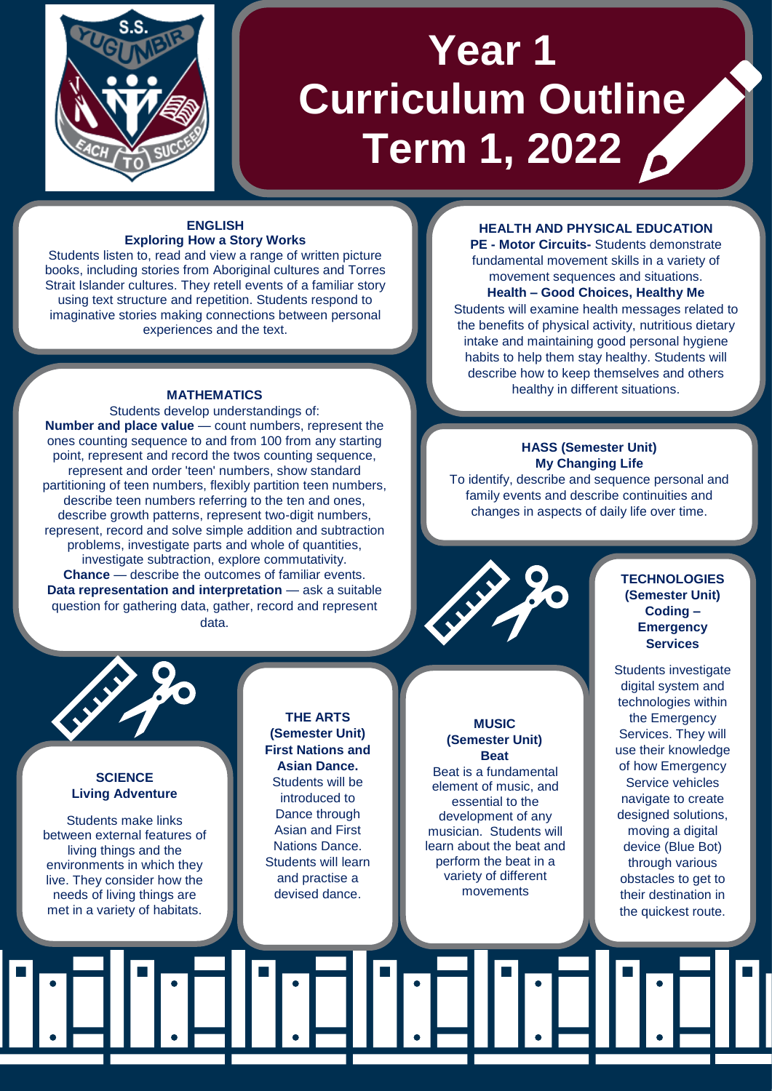

# **Year 1 Curriculum Outline Term 1, 2022**

## **ENGLISH Exploring How a Story Works**

Students listen to, read and view a range of written picture books, including stories from Aboriginal cultures and Torres Strait Islander cultures. They retell events of a familiar story using text structure and repetition. Students respond to imaginative stories making connections between personal experiences and the text.

#### **MATHEMATICS**

Students develop understandings of: **Number and place value** — count numbers, represent the ones counting sequence to and from 100 from any starting point, represent and record the twos counting sequence, represent and order 'teen' numbers, show standard partitioning of teen numbers, flexibly partition teen numbers, describe teen numbers referring to the ten and ones, describe growth patterns, represent two-digit numbers, represent, record and solve simple addition and subtraction problems, investigate parts and whole of quantities, investigate subtraction, explore commutativity. **Chance** — describe the outcomes of familiar events. **Data representation and interpretation** — ask a suitable question for gathering data, gather, record and represent data.

#### **HEALTH AND PHYSICAL EDUCATION**

**PE - Motor Circuits-** Students demonstrate fundamental movement skills in a variety of movement sequences and situations. **Health – Good Choices, Healthy Me** Students will examine health messages related to the benefits of physical activity, nutritious dietary intake and maintaining good personal hygiene habits to help them stay healthy. Students will describe how to keep themselves and others healthy in different situations.

# **HASS (Semester Unit) My Changing Life**

To identify, describe and sequence personal and family events and describe continuities and changes in aspects of daily life over time.



# **SCIENCE Living Adventure**

Students make links between external features of living things and the environments in which they live. They consider how the needs of living things are met in a variety of habitats.

# **THE ARTS (Semester Unit) First Nations and Asian Dance.** Students will be introduced to Dance through Asian and First Nations Dance. Students will learn and practise a devised dance.

#### **MUSIC (Semester Unit) Beat**

Beat is a fundamental element of music, and essential to the development of any musician. Students will learn about the beat and perform the beat in a variety of different movements

#### **TECHNOLOGIES (Semester Unit) Coding – Emergency Services**

Students investigate digital system and technologies within the Emergency Services. They will use their knowledge of how Emergency Service vehicles navigate to create designed solutions, moving a digital device (Blue Bot) through various obstacles to get to their destination in the quickest route.